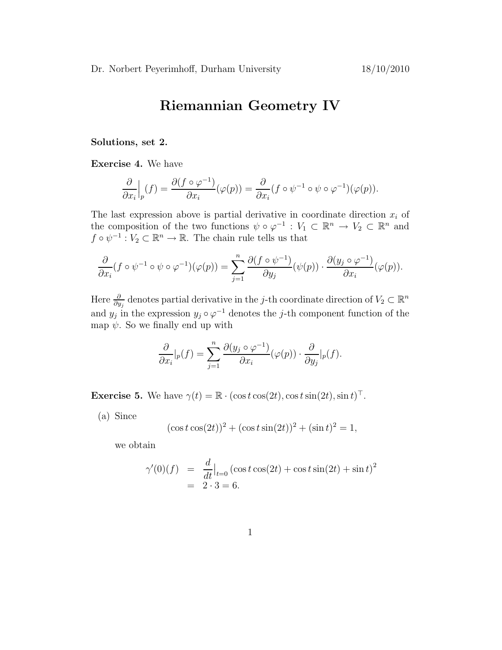## Riemannian Geometry IV

Solutions, set 2.

Exercise 4. We have

$$
\frac{\partial}{\partial x_i}\Big|_p(f) = \frac{\partial (f \circ \varphi^{-1})}{\partial x_i}(\varphi(p)) = \frac{\partial}{\partial x_i}(f \circ \psi^{-1} \circ \psi \circ \varphi^{-1})(\varphi(p)).
$$

The last expression above is partial derivative in coordinate direction  $x_i$  of the composition of the two functions  $\psi \circ \varphi^{-1} : V_1 \subset \mathbb{R}^n \to V_2 \subset \mathbb{R}^n$  and  $f \circ \psi^{-1} : V_2 \subset \mathbb{R}^n \to \mathbb{R}$ . The chain rule tells us that

$$
\frac{\partial}{\partial x_i}(f \circ \psi^{-1} \circ \psi \circ \varphi^{-1})(\varphi(p)) = \sum_{j=1}^n \frac{\partial (f \circ \psi^{-1})}{\partial y_j}(\psi(p)) \cdot \frac{\partial (y_j \circ \varphi^{-1})}{\partial x_i}(\varphi(p)).
$$

Here  $\frac{\partial}{\partial y_j}$  denotes partial derivative in the j-th coordinate direction of  $V_2 \subset \mathbb{R}^n$ and  $y_j$  in the expression  $y_j \circ \varphi^{-1}$  denotes the j-th component function of the map  $\psi$ . So we finally end up with

$$
\frac{\partial}{\partial x_i}|_p(f) = \sum_{j=1}^n \frac{\partial(y_j \circ \varphi^{-1})}{\partial x_i}(\varphi(p)) \cdot \frac{\partial}{\partial y_j}|_p(f).
$$

**Exercise 5.** We have  $\gamma(t) = \mathbb{R} \cdot (\cos t \cos(2t), \cos t \sin(2t), \sin t)^{\top}$ .

(a) Since

$$
(\cos t \cos(2t))^2 + (\cos t \sin(2t))^2 + (\sin t)^2 = 1,
$$

we obtain

$$
\gamma'(0)(f) = \frac{d}{dt}\Big|_{t=0} (\cos t \cos(2t) + \cos t \sin(2t) + \sin t)^2
$$
  
= 2 \cdot 3 = 6.